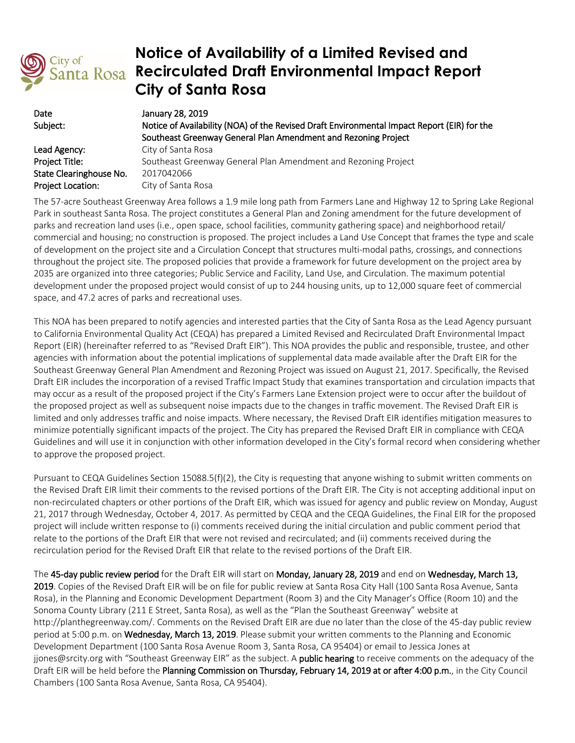

## **Notice of Availability of a Limited Revised and Recirculated Draft Environmental Impact Report City of Santa Rosa**

| Date                     | January 28, 2019                                                                            |
|--------------------------|---------------------------------------------------------------------------------------------|
| Subject:                 | Notice of Availability (NOA) of the Revised Draft Environmental Impact Report (EIR) for the |
|                          | Southeast Greenway General Plan Amendment and Rezoning Project                              |
| Lead Agency:             | City of Santa Rosa                                                                          |
| Project Title:           | Southeast Greenway General Plan Amendment and Rezoning Project                              |
| State Clearinghouse No.  | 2017042066                                                                                  |
| <b>Project Location:</b> | City of Santa Rosa                                                                          |

The 57-acre Southeast Greenway Area follows a 1.9 mile long path from Farmers Lane and Highway 12 to Spring Lake Regional Park in southeast Santa Rosa. The project constitutes a General Plan and Zoning amendment for the future development of parks and recreation land uses (i.e., open space, school facilities, community gathering space) and neighborhood retail/ commercial and housing; no construction is proposed. The project includes a Land Use Concept that frames the type and scale of development on the project site and a Circulation Concept that structures multi-modal paths, crossings, and connections throughout the project site. The proposed policies that provide a framework for future development on the project area by 2035 are organized into three categories; Public Service and Facility, Land Use, and Circulation. The maximum potential development under the proposed project would consist of up to 244 housing units, up to 12,000 square feet of commercial space, and 47.2 acres of parks and recreational uses.

This NOA has been prepared to notify agencies and interested parties that the City of Santa Rosa as the Lead Agency pursuant to California Environmental Quality Act (CEQA) has prepared a Limited Revised and Recirculated Draft Environmental Impact Report (EIR) (hereinafter referred to as "Revised Draft EIR"). This NOA provides the public and responsible, trustee, and other agencies with information about the potential implications of supplemental data made available after the Draft EIR for the Southeast Greenway General Plan Amendment and Rezoning Project was issued on August 21, 2017. Specifically, the Revised Draft EIR includes the incorporation of a revised Traffic Impact Study that examines transportation and circulation impacts that may occur as a result of the proposed project if the City's Farmers Lane Extension project were to occur after the buildout of the proposed project as well as subsequent noise impacts due to the changes in traffic movement. The Revised Draft EIR is limited and only addresses traffic and noise impacts. Where necessary, the Revised Draft EIR identifies mitigation measures to minimize potentially significant impacts of the project. The City has prepared the Revised Draft EIR in compliance with CEQA Guidelines and will use it in conjunction with other information developed in the City's formal record when considering whether to approve the proposed project.

Pursuant to CEQA Guidelines Section 15088.5(f)(2), the City is requesting that anyone wishing to submit written comments on the Revised Draft EIR limit their comments to the revised portions of the Draft EIR. The City is not accepting additional input on non-recirculated chapters or other portions of the Draft EIR, which was issued for agency and public review on Monday, August 21, 2017 through Wednesday, October 4, 2017. As permitted by CEQA and the CEQA Guidelines, the Final EIR for the proposed project will include written response to (i) comments received during the initial circulation and public comment period that relate to the portions of the Draft EIR that were not revised and recirculated; and (ii) comments received during the recirculation period for the Revised Draft EIR that relate to the revised portions of the Draft EIR.

The 45-day public review period for the Draft EIR will start on Monday, January 28, 2019 and end on Wednesday, March 13, 2019. Copies of the Revised Draft EIR will be on file for public review at Santa Rosa City Hall (100 Santa Rosa Avenue, Santa Rosa), in the Planning and Economic Development Department (Room 3) and the City Manager's Office (Room 10) and the Sonoma County Library (211 E Street, Santa Rosa), as well as the "Plan the Southeast Greenway" website at [http://planthegreenway.com/.](http://planthegreenway.com/) Comments on the Revised Draft EIR are due no later than the close of the 45-day public review period at 5:00 p.m. on Wednesday, March 13, 2019. Please submit your written comments to the Planning and Economic Development Department (100 Santa Rosa Avenue Room 3, Santa Rosa, CA 95404) or email to Jessica Jones at [jjones@srcity.org](mailto:jjones@srcity.org) with "Southeast Greenway EIR" as the subject. A **public hearing** to receive comments on the adequacy of the Draft EIR will be held before the Planning Commission on Thursday, February 14, 2019 at or after 4:00 p.m., in the City Council Chambers (100 Santa Rosa Avenue, Santa Rosa, CA 95404).